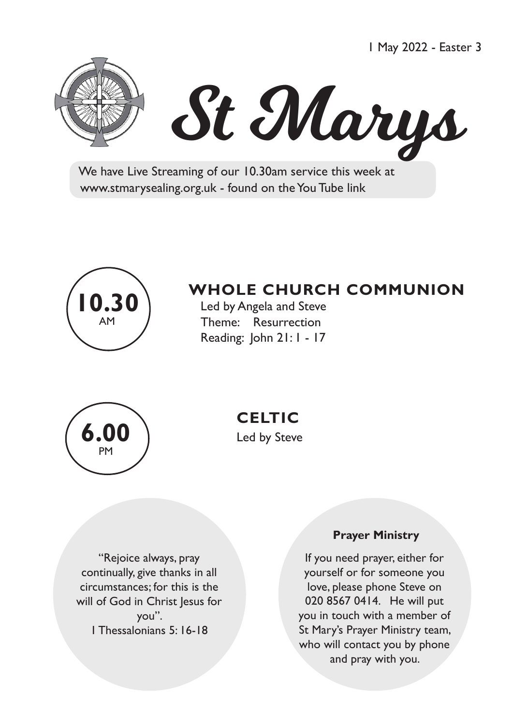1 May 2022 - Easter 3





 We have Live Streaming of our 10.30am service this week at www.stmarysealing.org.uk - found on the You Tube link



# **WHOLE CHURCH COMMUNION**

 Led by Angela and Steve Theme: Resurrection Reading: John 21: 1 - 17



 **CELTIC**

"Rejoice always, pray continually, give thanks in all circumstances; for this is the will of God in Christ Jesus for you". 1 Thessalonians 5: 16-18

#### **Prayer Ministry**

If you need prayer, either for yourself or for someone you love, please phone Steve on 020 8567 0414. He will put you in touch with a member of St Mary's Prayer Ministry team, who will contact you by phone and pray with you.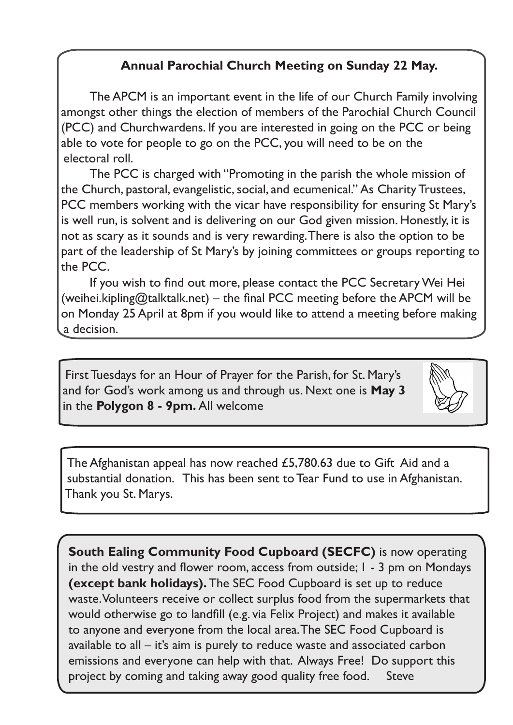### **Annual Parochial Church Meeting on Sunday 22 May.**

The APCM is an important event in the life of our Church Family involving amongst other things the election of members of the Parochial Church Council (PCC) and Churchwardens. If you are interested in going on the PCC or being able to vote for people to go on the PCC, you will need to be on the electoral roll.

The PCC is charged with "Promoting in the parish the whole mission of the Church, pastoral, evangelistic, social, and ecumenical." As Charity Trustees, PCC members working with the vicar have responsibility for ensuring St Mary's is well run, is solvent and is delivering on our God given mission. Honestly, it is not as scary as it sounds and is very rewarding. There is also the option to be part of the leadership of St Mary's by joining committees or groups reporting to the PCC.

 If you wish to find out more, please contact the PCC SecretaryWei Hei (weihei.kipling@talktalk.net) – the final PCC meeting before the APCM will be on Monday 25 April at 8pm if you would like to attend a meeting before making a decision.

First Tuesdays for an Hour of Prayer for the Parish, for St. Mary's and for God's work among us and through us. Next one is **May 3**  in the **Polygon 8 - 9pm.** All welcome



The Afghanistan appeal has now reached £5,780.63 due to Gift Aid and a substantial donation. This has been sent to Tear Fund to use in Afghanistan. Thank you St. Marys.

**South Ealing Community Food Cupboard (SECFC)** is now operating in the old vestry and flower room, access from outside; 1 - 3 pm on Mondays **(except bank holidays).** The SEC Food Cupboard is set up to reduce waste. Volunteers receive or collect surplus food from the supermarkets that would otherwise go to landfill (e.g. via Felix Project) and makes it available to anyone and everyone from the local area. The SEC Food Cupboard is available to all – it's aim is purely to reduce waste and associated carbon emissions and everyone can help with that. Always Free! Do support this project by coming and taking away good quality free food. Steve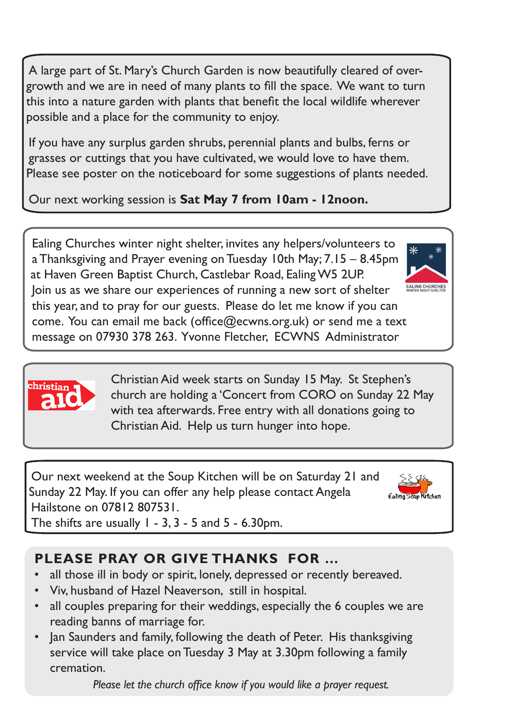A large part of St. Mary's Church Garden is now beautifully cleared of overgrowth and we are in need of many plants to fill the space. We want to turn this into a nature garden with plants that benefit the local wildlife wherever possible and a place for the community to enjoy.

If you have any surplus garden shrubs, perennial plants and bulbs, ferns or grasses or cuttings that you have cultivated, we would love to have them. Please see poster on the noticeboard for some suggestions of plants needed.

Our next working session is **Sat May 7 from 10am - 12noon.** 

Ealing Churches winter night shelter, invites any helpers/volunteers to a Thanksgiving and Prayer evening on Tuesday 10th May; 7.15 – 8.45pm at Haven Green Baptist Church, Castlebar Road, Ealing W5 2UP. Join us as we share our experiences of running a new sort of shelter this year, and to pray for our guests. Please do let me know if you can come. You can email me back (office@ecwns.org.uk) or send me a text message on 07930 378 263. Yvonne Fletcher, ECWNS Administrator

> Christian Aid week starts on Sunday 15 May. St Stephen's church are holding a 'Concert from CORO on Sunday 22 May with tea afterwards. Free entry with all donations going to Christian Aid. Help us turn hunger into hope.

Our next weekend at the Soup Kitchen will be on Saturday 21 and Sunday 22 May. If you can offer any help please contact Angela Hailstone on 07812 807531.



:hristian

## **PLEASE PRAY OR GIVE THANKS FOR …**

- all those ill in body or spirit, lonely, depressed or recently bereaved.
- Viv, husband of Hazel Neaverson, still in hospital.
- all couples preparing for their weddings, especially the 6 couples we are reading banns of marriage for.
- Jan Saunders and family, following the death of Peter. His thanksgiving service will take place on Tuesday 3 May at 3.30pm following a family cremation.

 *Please let the church office know if you would like a prayer request.*